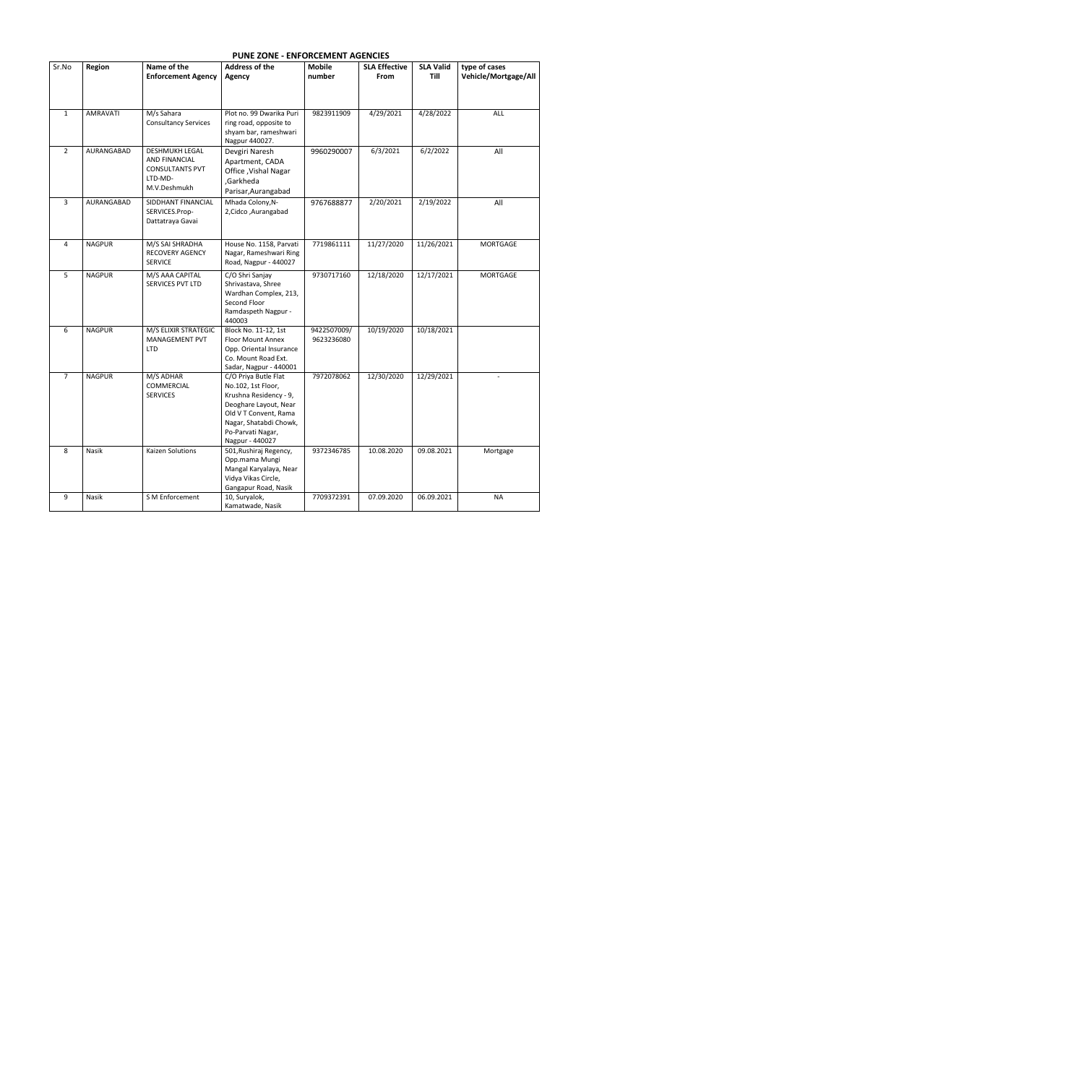## **PUNE ZONE - ENFORCEMENT AGENCIES**

| Sr.No          | Region          | Name of the                 | <b>Address of the</b>                          | <b>Mobile</b> | <b>SLA Effective</b> | <b>SLA Valid</b> | type of cases        |
|----------------|-----------------|-----------------------------|------------------------------------------------|---------------|----------------------|------------------|----------------------|
|                |                 | <b>Enforcement Agency</b>   | <b>Agency</b>                                  | number        | From                 | Till             | Vehicle/Mortgage/All |
|                |                 |                             |                                                |               |                      |                  |                      |
|                |                 |                             |                                                |               |                      |                  |                      |
| $\mathbf{1}$   | <b>AMRAVATI</b> | M/s Sahara                  | Plot no. 99 Dwarika Puri                       | 9823911909    | 4/29/2021            | 4/28/2022        | ALL                  |
|                |                 | <b>Consultancy Services</b> | ring road, opposite to                         |               |                      |                  |                      |
|                |                 |                             | shyam bar, rameshwari                          |               |                      |                  |                      |
|                |                 |                             | Nagpur 440027.                                 |               |                      |                  |                      |
| $2^{\circ}$    | AURANGABAD      | <b>DESHMUKH LEGAL</b>       | Devgiri Naresh                                 | 9960290007    | 6/3/2021             | 6/2/2022         | All                  |
|                |                 | <b>AND FINANCIAL</b>        | Apartment, CADA                                |               |                      |                  |                      |
|                |                 | <b>CONSULTANTS PVT</b>      | Office, Vishal Nagar                           |               |                      |                  |                      |
|                |                 | LTD-MD-                     | ,Garkheda                                      |               |                      |                  |                      |
|                |                 | M.V.Deshmukh                | Parisar, Aurangabad                            |               |                      |                  |                      |
| $\overline{3}$ | AURANGABAD      | SIDDHANT FINANCIAL          | Mhada Colony, N-                               | 9767688877    | 2/20/2021            | 2/19/2022        | All                  |
|                |                 | SERVICES.Prop-              | 2, Cidco, Aurangabad                           |               |                      |                  |                      |
|                |                 | Dattatraya Gavai            |                                                |               |                      |                  |                      |
|                |                 |                             |                                                |               |                      |                  |                      |
| $\overline{4}$ | <b>NAGPUR</b>   | M/S SAI SHRADHA             | House No. 1158, Parvati                        | 7719861111    | 11/27/2020           | 11/26/2021       | <b>MORTGAGE</b>      |
|                |                 | <b>RECOVERY AGENCY</b>      | Nagar, Rameshwari Ring                         |               |                      |                  |                      |
|                |                 | <b>SERVICE</b>              | Road, Nagpur - 440027                          |               |                      |                  |                      |
| 5              | <b>NAGPUR</b>   | M/S AAA CAPITAL             | C/O Shri Sanjay                                | 9730717160    | 12/18/2020           | 12/17/2021       | <b>MORTGAGE</b>      |
|                |                 | SERVICES PVT LTD            | Shrivastava, Shree                             |               |                      |                  |                      |
|                |                 |                             | Wardhan Complex, 213,                          |               |                      |                  |                      |
|                |                 |                             | Second Floor                                   |               |                      |                  |                      |
|                |                 |                             | Ramdaspeth Nagpur -                            |               |                      |                  |                      |
|                |                 |                             | 440003                                         |               |                      |                  |                      |
| 6              | <b>NAGPUR</b>   | M/S ELIXIR STRATEGIC        | Block No. 11-12, 1st                           | 9422507009/   | 10/19/2020           | 10/18/2021       |                      |
|                |                 | <b>MANAGEMENT PVT</b>       | <b>Floor Mount Annex</b>                       | 9623236080    |                      |                  |                      |
|                |                 | <b>LTD</b>                  | Opp. Oriental Insurance<br>Co. Mount Road Ext. |               |                      |                  |                      |
|                |                 |                             | Sadar, Nagpur - 440001                         |               |                      |                  |                      |
| $\overline{7}$ | <b>NAGPUR</b>   | M/S ADHAR                   | C/O Priya Butle Flat                           | 7972078062    | 12/30/2020           | 12/29/2021       |                      |
|                |                 | COMMERCIAL                  | No.102, 1st Floor,                             |               |                      |                  |                      |
|                |                 | <b>SERVICES</b>             | Krushna Residency - 9,                         |               |                      |                  |                      |
|                |                 |                             | Deoghare Layout, Near                          |               |                      |                  |                      |
|                |                 |                             | Old V T Convent, Rama                          |               |                      |                  |                      |
|                |                 |                             | Nagar, Shatabdi Chowk,                         |               |                      |                  |                      |
|                |                 |                             | Po-Parvati Nagar,                              |               |                      |                  |                      |
|                |                 |                             | Nagpur - 440027                                |               |                      |                  |                      |
| 8              | Nasik           | <b>Kaizen Solutions</b>     | 501, Rushiraj Regency,                         | 9372346785    | 10.08.2020           | 09.08.2021       | Mortgage             |
|                |                 |                             | Opp.mama Mungi                                 |               |                      |                  |                      |
|                |                 |                             | Mangal Karyalaya, Near                         |               |                      |                  |                      |
|                |                 |                             | Vidya Vikas Circle,                            |               |                      |                  |                      |
| 9              |                 |                             | Gangapur Road, Nasik                           |               |                      |                  |                      |
|                | Nasik           | S M Enforcement             | 10, Suryalok,<br>Kamatwade, Nasik              | 7709372391    | 07.09.2020           | 06.09.2021       | <b>NA</b>            |
|                |                 |                             |                                                |               |                      |                  |                      |